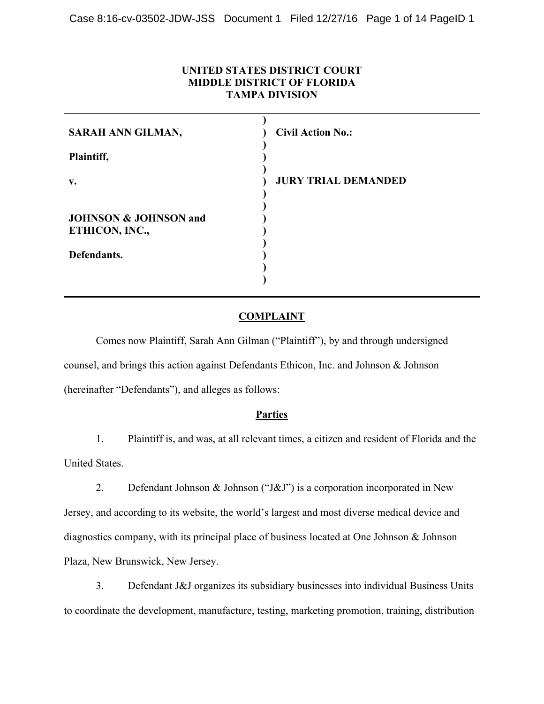## **UNITED STATES DISTRICT COURT MIDDLE DISTRICT OF FLORIDA TAMPA DIVISION**

| SARAH ANN GILMAN,                | <b>Civil Action No.:</b>   |
|----------------------------------|----------------------------|
| Plaintiff,                       |                            |
| $V_{\bullet}$                    | <b>JURY TRIAL DEMANDED</b> |
| <b>JOHNSON &amp; JOHNSON and</b> |                            |
| ETHICON, INC.,                   |                            |
| Defendants.                      |                            |
|                                  |                            |

## **COMPLAINT**

Comes now Plaintiff, Sarah Ann Gilman ("Plaintiff"), by and through undersigned counsel, and brings this action against Defendants Ethicon, Inc. and Johnson & Johnson (hereinafter "Defendants"), and alleges as follows:

#### **Parties**

1. Plaintiff is, and was, at all relevant times, a citizen and resident of Florida and the United States.

2. Defendant Johnson & Johnson ("J&J") is a corporation incorporated in New Jersey, and according to its website, the world's largest and most diverse medical device and diagnostics company, with its principal place of business located at One Johnson & Johnson Plaza, New Brunswick, New Jersey.

3. Defendant J&J organizes its subsidiary businesses into individual Business Units to coordinate the development, manufacture, testing, marketing promotion, training, distribution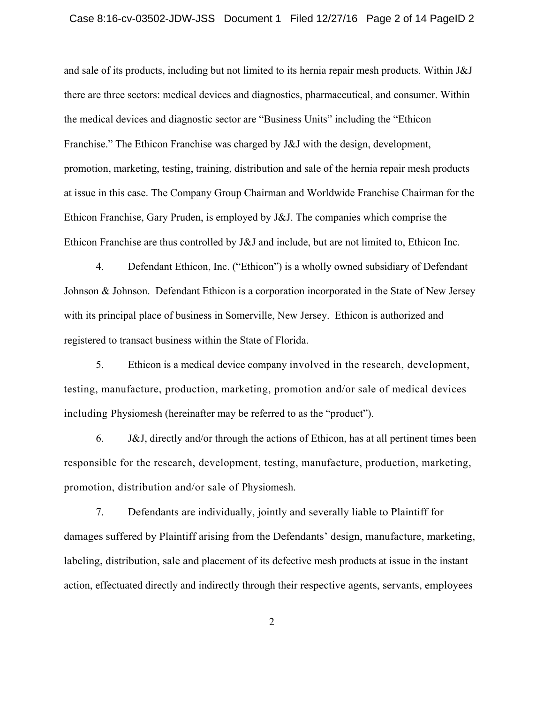and sale of its products, including but not limited to its hernia repair mesh products. Within J&J there are three sectors: medical devices and diagnostics, pharmaceutical, and consumer. Within the medical devices and diagnostic sector are "Business Units" including the "Ethicon Franchise." The Ethicon Franchise was charged by J&J with the design, development, promotion, marketing, testing, training, distribution and sale of the hernia repair mesh products at issue in this case. The Company Group Chairman and Worldwide Franchise Chairman for the Ethicon Franchise, Gary Pruden, is employed by J&J. The companies which comprise the Ethicon Franchise are thus controlled by J&J and include, but are not limited to, Ethicon Inc.

4. Defendant Ethicon, Inc. ("Ethicon") is a wholly owned subsidiary of Defendant Johnson & Johnson. Defendant Ethicon is a corporation incorporated in the State of New Jersey with its principal place of business in Somerville, New Jersey. Ethicon is authorized and registered to transact business within the State of Florida.

5. Ethicon is a medical device company involved in the research, development, testing, manufacture, production, marketing, promotion and/or sale of medical devices including Physiomesh (hereinafter may be referred to as the "product").

6. J&J, directly and/or through the actions of Ethicon, has at all pertinent times been responsible for the research, development, testing, manufacture, production, marketing, promotion, distribution and/or sale of Physiomesh.

7. Defendants are individually, jointly and severally liable to Plaintiff for damages suffered by Plaintiff arising from the Defendants' design, manufacture, marketing, labeling, distribution, sale and placement of its defective mesh products at issue in the instant action, effectuated directly and indirectly through their respective agents, servants, employees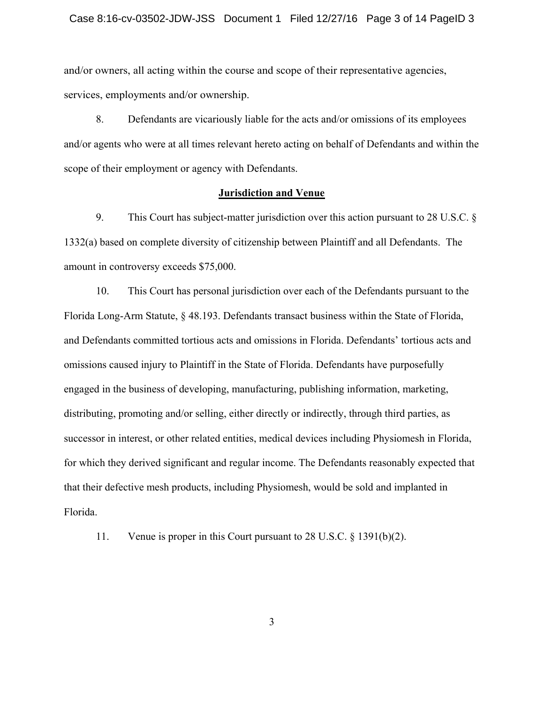and/or owners, all acting within the course and scope of their representative agencies, services, employments and/or ownership.

8. Defendants are vicariously liable for the acts and/or omissions of its employees and/or agents who were at all times relevant hereto acting on behalf of Defendants and within the scope of their employment or agency with Defendants.

#### **Jurisdiction and Venue**

9. This Court has subject-matter jurisdiction over this action pursuant to 28 U.S.C. § 1332(a) based on complete diversity of citizenship between Plaintiff and all Defendants. The amount in controversy exceeds \$75,000.

10. This Court has personal jurisdiction over each of the Defendants pursuant to the Florida Long-Arm Statute, § 48.193. Defendants transact business within the State of Florida, and Defendants committed tortious acts and omissions in Florida. Defendants' tortious acts and omissions caused injury to Plaintiff in the State of Florida. Defendants have purposefully engaged in the business of developing, manufacturing, publishing information, marketing, distributing, promoting and/or selling, either directly or indirectly, through third parties, as successor in interest, or other related entities, medical devices including Physiomesh in Florida, for which they derived significant and regular income. The Defendants reasonably expected that that their defective mesh products, including Physiomesh, would be sold and implanted in Florida.

11. Venue is proper in this Court pursuant to 28 U.S.C. § 1391(b)(2).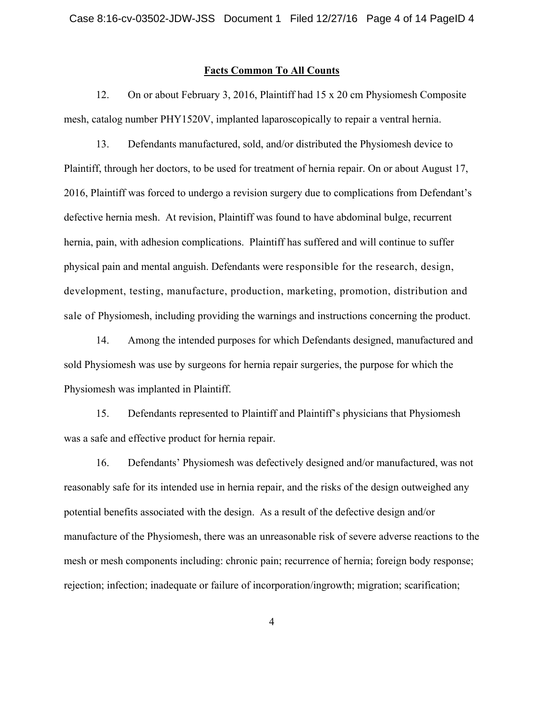#### **Facts Common To All Counts**

12. On or about February 3, 2016, Plaintiff had 15 x 20 cm Physiomesh Composite mesh, catalog number PHY1520V, implanted laparoscopically to repair a ventral hernia.

13. Defendants manufactured, sold, and/or distributed the Physiomesh device to Plaintiff, through her doctors, to be used for treatment of hernia repair. On or about August 17, 2016, Plaintiff was forced to undergo a revision surgery due to complications from Defendant's defective hernia mesh. At revision, Plaintiff was found to have abdominal bulge, recurrent hernia, pain, with adhesion complications. Plaintiff has suffered and will continue to suffer physical pain and mental anguish. Defendants were responsible for the research, design, development, testing, manufacture, production, marketing, promotion, distribution and sale of Physiomesh, including providing the warnings and instructions concerning the product.

14. Among the intended purposes for which Defendants designed, manufactured and sold Physiomesh was use by surgeons for hernia repair surgeries, the purpose for which the Physiomesh was implanted in Plaintiff.

15. Defendants represented to Plaintiff and Plaintiff's physicians that Physiomesh was a safe and effective product for hernia repair.

16. Defendants' Physiomesh was defectively designed and/or manufactured, was not reasonably safe for its intended use in hernia repair, and the risks of the design outweighed any potential benefits associated with the design. As a result of the defective design and/or manufacture of the Physiomesh, there was an unreasonable risk of severe adverse reactions to the mesh or mesh components including: chronic pain; recurrence of hernia; foreign body response; rejection; infection; inadequate or failure of incorporation/ingrowth; migration; scarification;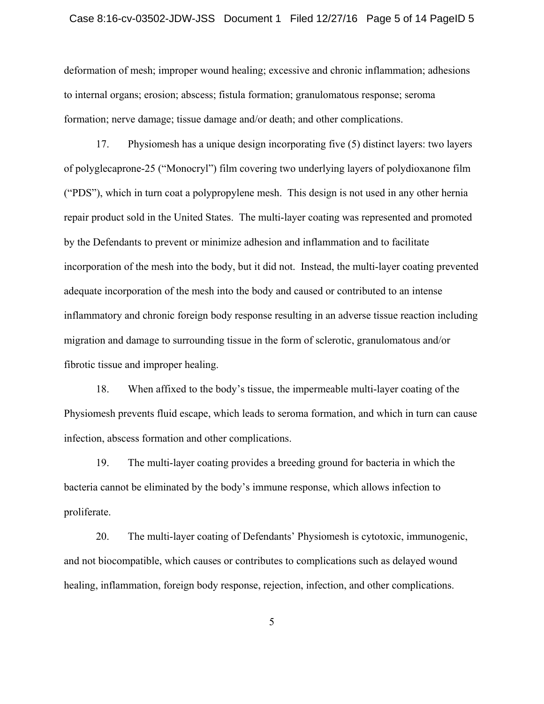deformation of mesh; improper wound healing; excessive and chronic inflammation; adhesions to internal organs; erosion; abscess; fistula formation; granulomatous response; seroma formation; nerve damage; tissue damage and/or death; and other complications.

17. Physiomesh has a unique design incorporating five (5) distinct layers: two layers of polyglecaprone-25 ("Monocryl") film covering two underlying layers of polydioxanone film ("PDS"), which in turn coat a polypropylene mesh. This design is not used in any other hernia repair product sold in the United States. The multi-layer coating was represented and promoted by the Defendants to prevent or minimize adhesion and inflammation and to facilitate incorporation of the mesh into the body, but it did not. Instead, the multi-layer coating prevented adequate incorporation of the mesh into the body and caused or contributed to an intense inflammatory and chronic foreign body response resulting in an adverse tissue reaction including migration and damage to surrounding tissue in the form of sclerotic, granulomatous and/or fibrotic tissue and improper healing.

18. When affixed to the body's tissue, the impermeable multi-layer coating of the Physiomesh prevents fluid escape, which leads to seroma formation, and which in turn can cause infection, abscess formation and other complications.

19. The multi-layer coating provides a breeding ground for bacteria in which the bacteria cannot be eliminated by the body's immune response, which allows infection to proliferate.

20. The multi-layer coating of Defendants' Physiomesh is cytotoxic, immunogenic, and not biocompatible, which causes or contributes to complications such as delayed wound healing, inflammation, foreign body response, rejection, infection, and other complications.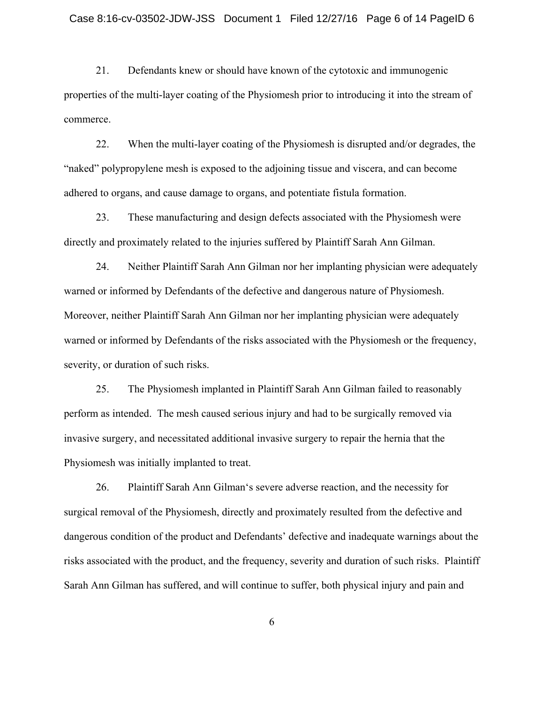21. Defendants knew or should have known of the cytotoxic and immunogenic properties of the multi-layer coating of the Physiomesh prior to introducing it into the stream of commerce.

22. When the multi-layer coating of the Physiomesh is disrupted and/or degrades, the "naked" polypropylene mesh is exposed to the adjoining tissue and viscera, and can become adhered to organs, and cause damage to organs, and potentiate fistula formation.

23. These manufacturing and design defects associated with the Physiomesh were directly and proximately related to the injuries suffered by Plaintiff Sarah Ann Gilman.

24. Neither Plaintiff Sarah Ann Gilman nor her implanting physician were adequately warned or informed by Defendants of the defective and dangerous nature of Physiomesh. Moreover, neither Plaintiff Sarah Ann Gilman nor her implanting physician were adequately warned or informed by Defendants of the risks associated with the Physiomesh or the frequency, severity, or duration of such risks.

25. The Physiomesh implanted in Plaintiff Sarah Ann Gilman failed to reasonably perform as intended. The mesh caused serious injury and had to be surgically removed via invasive surgery, and necessitated additional invasive surgery to repair the hernia that the Physiomesh was initially implanted to treat.

26. Plaintiff Sarah Ann Gilman's severe adverse reaction, and the necessity for surgical removal of the Physiomesh, directly and proximately resulted from the defective and dangerous condition of the product and Defendants' defective and inadequate warnings about the risks associated with the product, and the frequency, severity and duration of such risks. Plaintiff Sarah Ann Gilman has suffered, and will continue to suffer, both physical injury and pain and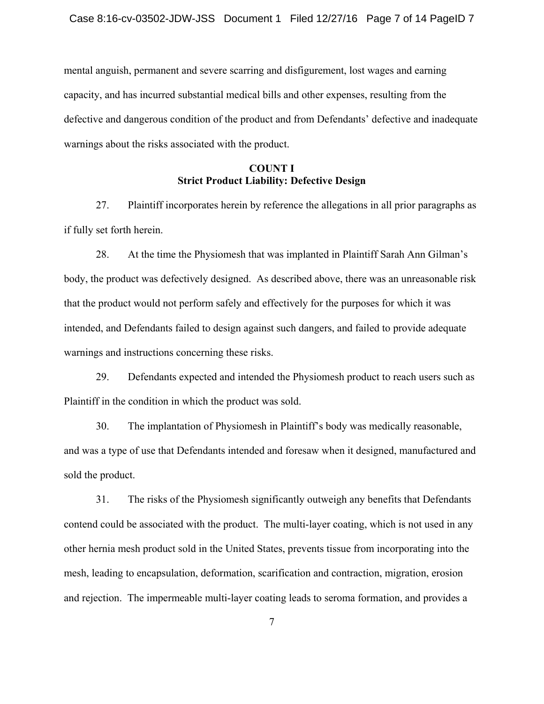mental anguish, permanent and severe scarring and disfigurement, lost wages and earning capacity, and has incurred substantial medical bills and other expenses, resulting from the defective and dangerous condition of the product and from Defendants' defective and inadequate warnings about the risks associated with the product.

## **COUNT I Strict Product Liability: Defective Design**

27. Plaintiff incorporates herein by reference the allegations in all prior paragraphs as if fully set forth herein.

28. At the time the Physiomesh that was implanted in Plaintiff Sarah Ann Gilman's body, the product was defectively designed. As described above, there was an unreasonable risk that the product would not perform safely and effectively for the purposes for which it was intended, and Defendants failed to design against such dangers, and failed to provide adequate warnings and instructions concerning these risks.

29. Defendants expected and intended the Physiomesh product to reach users such as Plaintiff in the condition in which the product was sold.

30. The implantation of Physiomesh in Plaintiff's body was medically reasonable, and was a type of use that Defendants intended and foresaw when it designed, manufactured and sold the product.

31. The risks of the Physiomesh significantly outweigh any benefits that Defendants contend could be associated with the product. The multi-layer coating, which is not used in any other hernia mesh product sold in the United States, prevents tissue from incorporating into the mesh, leading to encapsulation, deformation, scarification and contraction, migration, erosion and rejection. The impermeable multi-layer coating leads to seroma formation, and provides a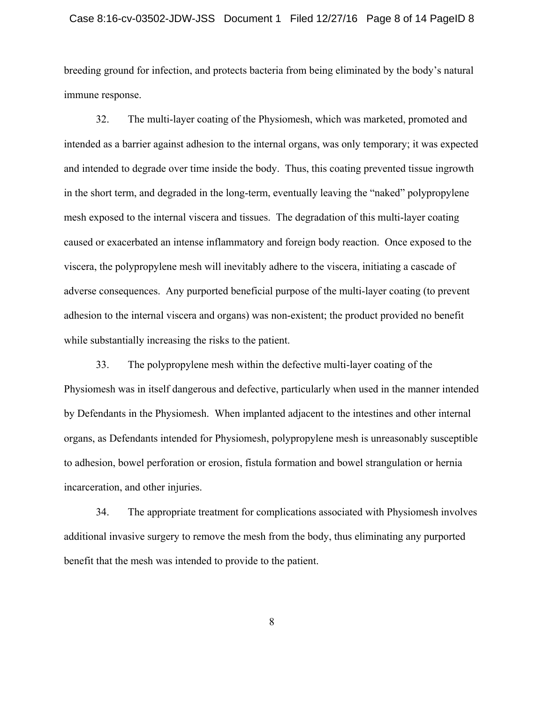#### Case 8:16-cv-03502-JDW-JSS Document 1 Filed 12/27/16 Page 8 of 14 PageID 8

breeding ground for infection, and protects bacteria from being eliminated by the body's natural immune response.

32. The multi-layer coating of the Physiomesh, which was marketed, promoted and intended as a barrier against adhesion to the internal organs, was only temporary; it was expected and intended to degrade over time inside the body. Thus, this coating prevented tissue ingrowth in the short term, and degraded in the long-term, eventually leaving the "naked" polypropylene mesh exposed to the internal viscera and tissues. The degradation of this multi-layer coating caused or exacerbated an intense inflammatory and foreign body reaction. Once exposed to the viscera, the polypropylene mesh will inevitably adhere to the viscera, initiating a cascade of adverse consequences. Any purported beneficial purpose of the multi-layer coating (to prevent adhesion to the internal viscera and organs) was non-existent; the product provided no benefit while substantially increasing the risks to the patient.

33. The polypropylene mesh within the defective multi-layer coating of the Physiomesh was in itself dangerous and defective, particularly when used in the manner intended by Defendants in the Physiomesh. When implanted adjacent to the intestines and other internal organs, as Defendants intended for Physiomesh, polypropylene mesh is unreasonably susceptible to adhesion, bowel perforation or erosion, fistula formation and bowel strangulation or hernia incarceration, and other injuries.

34. The appropriate treatment for complications associated with Physiomesh involves additional invasive surgery to remove the mesh from the body, thus eliminating any purported benefit that the mesh was intended to provide to the patient.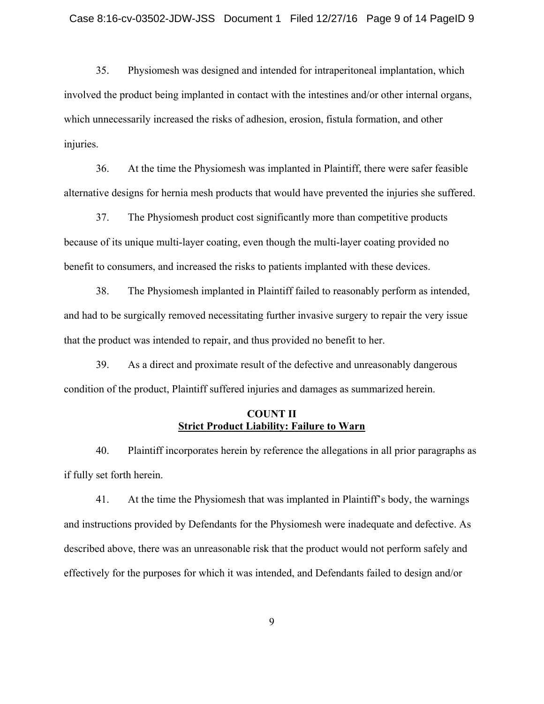35. Physiomesh was designed and intended for intraperitoneal implantation, which involved the product being implanted in contact with the intestines and/or other internal organs, which unnecessarily increased the risks of adhesion, erosion, fistula formation, and other injuries.

36. At the time the Physiomesh was implanted in Plaintiff, there were safer feasible alternative designs for hernia mesh products that would have prevented the injuries she suffered.

37. The Physiomesh product cost significantly more than competitive products because of its unique multi-layer coating, even though the multi-layer coating provided no benefit to consumers, and increased the risks to patients implanted with these devices.

38. The Physiomesh implanted in Plaintiff failed to reasonably perform as intended, and had to be surgically removed necessitating further invasive surgery to repair the very issue that the product was intended to repair, and thus provided no benefit to her.

39. As a direct and proximate result of the defective and unreasonably dangerous condition of the product, Plaintiff suffered injuries and damages as summarized herein.

#### **COUNT II Strict Product Liability: Failure to Warn**

40. Plaintiff incorporates herein by reference the allegations in all prior paragraphs as if fully set forth herein.

41. At the time the Physiomesh that was implanted in Plaintiff's body, the warnings and instructions provided by Defendants for the Physiomesh were inadequate and defective. As described above, there was an unreasonable risk that the product would not perform safely and effectively for the purposes for which it was intended, and Defendants failed to design and/or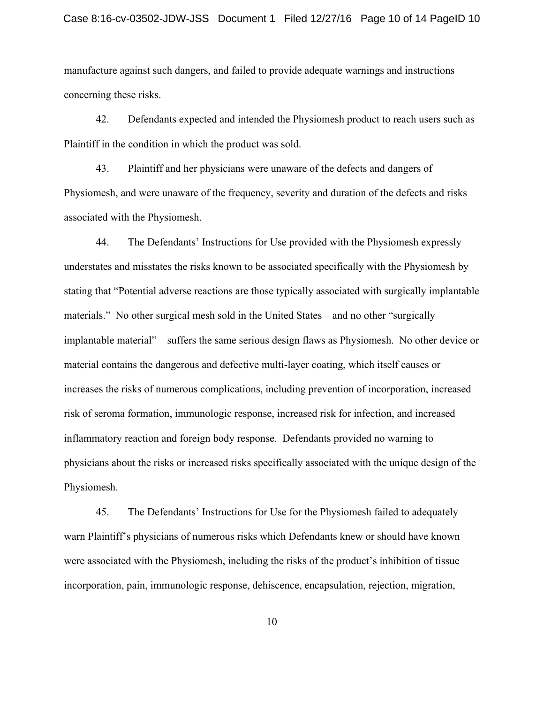manufacture against such dangers, and failed to provide adequate warnings and instructions concerning these risks.

42. Defendants expected and intended the Physiomesh product to reach users such as Plaintiff in the condition in which the product was sold.

43. Plaintiff and her physicians were unaware of the defects and dangers of Physiomesh, and were unaware of the frequency, severity and duration of the defects and risks associated with the Physiomesh.

44. The Defendants' Instructions for Use provided with the Physiomesh expressly understates and misstates the risks known to be associated specifically with the Physiomesh by stating that "Potential adverse reactions are those typically associated with surgically implantable materials." No other surgical mesh sold in the United States – and no other "surgically implantable material" – suffers the same serious design flaws as Physiomesh. No other device or material contains the dangerous and defective multi-layer coating, which itself causes or increases the risks of numerous complications, including prevention of incorporation, increased risk of seroma formation, immunologic response, increased risk for infection, and increased inflammatory reaction and foreign body response. Defendants provided no warning to physicians about the risks or increased risks specifically associated with the unique design of the Physiomesh.

45. The Defendants' Instructions for Use for the Physiomesh failed to adequately warn Plaintiff's physicians of numerous risks which Defendants knew or should have known were associated with the Physiomesh, including the risks of the product's inhibition of tissue incorporation, pain, immunologic response, dehiscence, encapsulation, rejection, migration,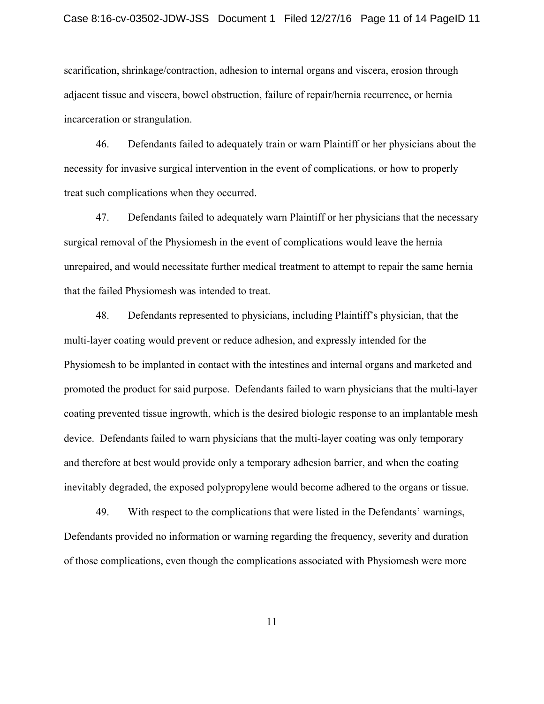scarification, shrinkage/contraction, adhesion to internal organs and viscera, erosion through adjacent tissue and viscera, bowel obstruction, failure of repair/hernia recurrence, or hernia incarceration or strangulation.

46. Defendants failed to adequately train or warn Plaintiff or her physicians about the necessity for invasive surgical intervention in the event of complications, or how to properly treat such complications when they occurred.

47. Defendants failed to adequately warn Plaintiff or her physicians that the necessary surgical removal of the Physiomesh in the event of complications would leave the hernia unrepaired, and would necessitate further medical treatment to attempt to repair the same hernia that the failed Physiomesh was intended to treat.

48. Defendants represented to physicians, including Plaintiff's physician, that the multi-layer coating would prevent or reduce adhesion, and expressly intended for the Physiomesh to be implanted in contact with the intestines and internal organs and marketed and promoted the product for said purpose. Defendants failed to warn physicians that the multi-layer coating prevented tissue ingrowth, which is the desired biologic response to an implantable mesh device. Defendants failed to warn physicians that the multi-layer coating was only temporary and therefore at best would provide only a temporary adhesion barrier, and when the coating inevitably degraded, the exposed polypropylene would become adhered to the organs or tissue.

49. With respect to the complications that were listed in the Defendants' warnings, Defendants provided no information or warning regarding the frequency, severity and duration of those complications, even though the complications associated with Physiomesh were more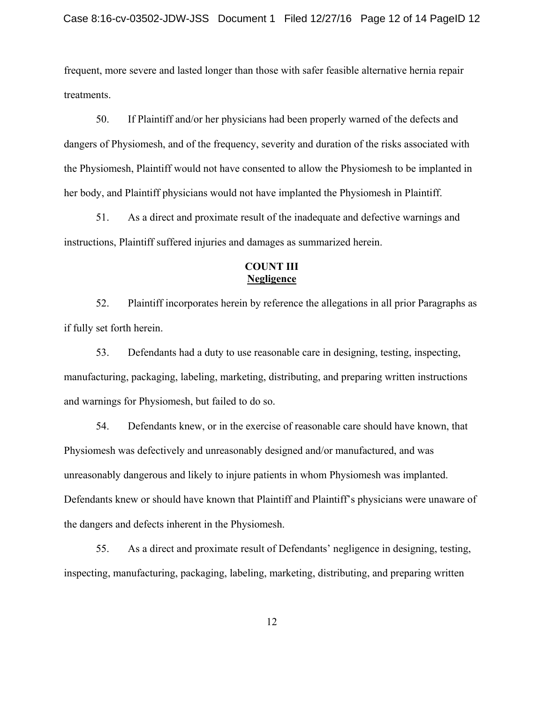frequent, more severe and lasted longer than those with safer feasible alternative hernia repair treatments.

50. If Plaintiff and/or her physicians had been properly warned of the defects and dangers of Physiomesh, and of the frequency, severity and duration of the risks associated with the Physiomesh, Plaintiff would not have consented to allow the Physiomesh to be implanted in her body, and Plaintiff physicians would not have implanted the Physiomesh in Plaintiff.

51. As a direct and proximate result of the inadequate and defective warnings and instructions, Plaintiff suffered injuries and damages as summarized herein.

## **COUNT III Negligence**

52. Plaintiff incorporates herein by reference the allegations in all prior Paragraphs as if fully set forth herein.

53. Defendants had a duty to use reasonable care in designing, testing, inspecting, manufacturing, packaging, labeling, marketing, distributing, and preparing written instructions and warnings for Physiomesh, but failed to do so.

54. Defendants knew, or in the exercise of reasonable care should have known, that Physiomesh was defectively and unreasonably designed and/or manufactured, and was unreasonably dangerous and likely to injure patients in whom Physiomesh was implanted. Defendants knew or should have known that Plaintiff and Plaintiff's physicians were unaware of the dangers and defects inherent in the Physiomesh.

55. As a direct and proximate result of Defendants' negligence in designing, testing, inspecting, manufacturing, packaging, labeling, marketing, distributing, and preparing written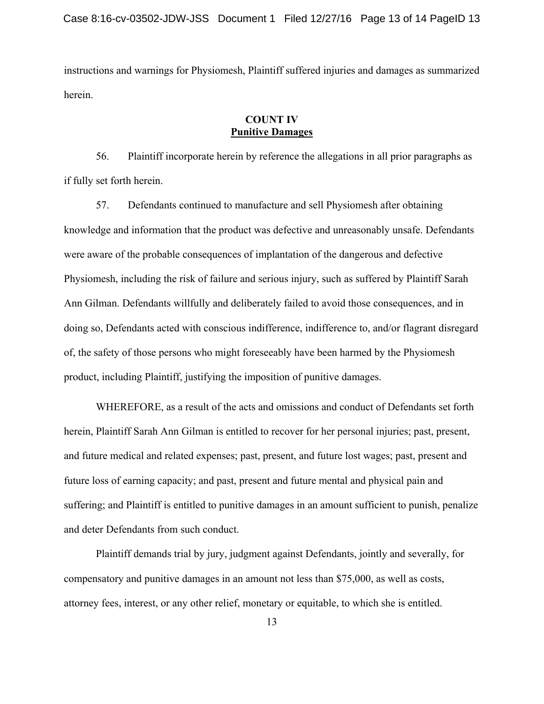instructions and warnings for Physiomesh, Plaintiff suffered injuries and damages as summarized herein.

## **COUNT IV Punitive Damages**

56. Plaintiff incorporate herein by reference the allegations in all prior paragraphs as if fully set forth herein.

57. Defendants continued to manufacture and sell Physiomesh after obtaining knowledge and information that the product was defective and unreasonably unsafe. Defendants were aware of the probable consequences of implantation of the dangerous and defective Physiomesh, including the risk of failure and serious injury, such as suffered by Plaintiff Sarah Ann Gilman. Defendants willfully and deliberately failed to avoid those consequences, and in doing so, Defendants acted with conscious indifference, indifference to, and/or flagrant disregard of, the safety of those persons who might foreseeably have been harmed by the Physiomesh product, including Plaintiff, justifying the imposition of punitive damages.

 WHEREFORE, as a result of the acts and omissions and conduct of Defendants set forth herein, Plaintiff Sarah Ann Gilman is entitled to recover for her personal injuries; past, present, and future medical and related expenses; past, present, and future lost wages; past, present and future loss of earning capacity; and past, present and future mental and physical pain and suffering; and Plaintiff is entitled to punitive damages in an amount sufficient to punish, penalize and deter Defendants from such conduct.

 Plaintiff demands trial by jury, judgment against Defendants, jointly and severally, for compensatory and punitive damages in an amount not less than \$75,000, as well as costs, attorney fees, interest, or any other relief, monetary or equitable, to which she is entitled.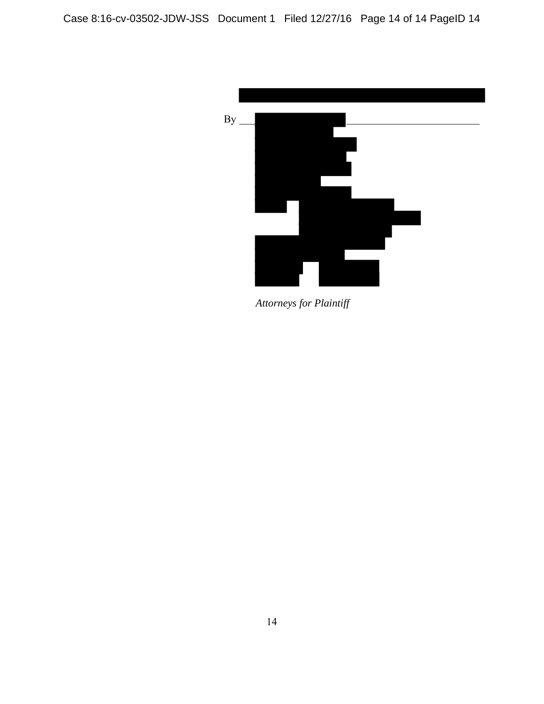

*Attorneys for Plaintiff*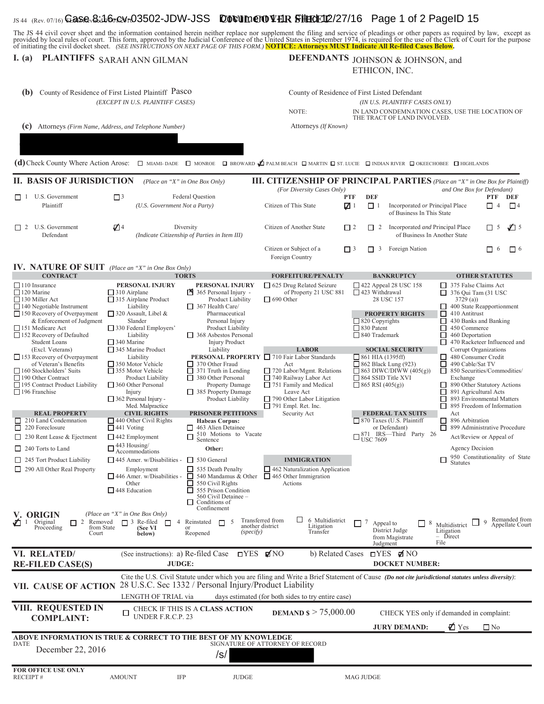## $_{\rm JS~44~(Rev.~07/16)}$ Gase<sub>v</sub>&.1b6y@vr03502-JDW-JSS **Documer0VHR SHEdE112/27/16** Page 1 of 2 PageID 15

The JS 44 civil cover sheet and the information contained herein neither replace nor supplement the filing and service of pleadings or other papers as required by law, except as provided by local rules of court. This form,

# **I.** (a) PLAINTIFFS SARAH ANN GILMAN

#### DEFENDANTS JOHNSON & JOHNSON, and ETHICON, INC.

| (b)                                                                                                                                                                                                                                                                                                                       | County of Residence of First Listed Plaintiff Pasco<br>(EXCEPT IN U.S. PLAINTIFF CASES)                                                                                                                                                                                              |                                                                                                                                                                                                                                                                 | NOTE:                                                                                                                                                                                                                                                                           | County of Residence of First Listed Defendant<br>(IN U.S. PLAINTIFF CASES ONLY)<br>IN LAND CONDEMNATION CASES, USE THE LOCATION OF                                                                                                                    |                                                                                                                                                                                                                                                                                                                                             |  |
|---------------------------------------------------------------------------------------------------------------------------------------------------------------------------------------------------------------------------------------------------------------------------------------------------------------------------|--------------------------------------------------------------------------------------------------------------------------------------------------------------------------------------------------------------------------------------------------------------------------------------|-----------------------------------------------------------------------------------------------------------------------------------------------------------------------------------------------------------------------------------------------------------------|---------------------------------------------------------------------------------------------------------------------------------------------------------------------------------------------------------------------------------------------------------------------------------|-------------------------------------------------------------------------------------------------------------------------------------------------------------------------------------------------------------------------------------------------------|---------------------------------------------------------------------------------------------------------------------------------------------------------------------------------------------------------------------------------------------------------------------------------------------------------------------------------------------|--|
| (c)                                                                                                                                                                                                                                                                                                                       | Attorneys (Firm Name, Address, and Telephone Number)                                                                                                                                                                                                                                 |                                                                                                                                                                                                                                                                 | Attorneys (If Known)                                                                                                                                                                                                                                                            | THE TRACT OF LAND INVOLVED.                                                                                                                                                                                                                           |                                                                                                                                                                                                                                                                                                                                             |  |
|                                                                                                                                                                                                                                                                                                                           |                                                                                                                                                                                                                                                                                      |                                                                                                                                                                                                                                                                 |                                                                                                                                                                                                                                                                                 |                                                                                                                                                                                                                                                       |                                                                                                                                                                                                                                                                                                                                             |  |
|                                                                                                                                                                                                                                                                                                                           |                                                                                                                                                                                                                                                                                      |                                                                                                                                                                                                                                                                 |                                                                                                                                                                                                                                                                                 |                                                                                                                                                                                                                                                       |                                                                                                                                                                                                                                                                                                                                             |  |
|                                                                                                                                                                                                                                                                                                                           |                                                                                                                                                                                                                                                                                      |                                                                                                                                                                                                                                                                 | (d) Check County Where Action Arose: $\Box$ MIAMI-DADE $\Box$ MONROE $\Box$ BROWARD $\cancel{D}$ PALM BEACH $\Box$ MARTIN $\Box$ ST. LUCIE $\Box$ INDIAN RIVER $\Box$ OKEECHOBEE $\Box$ HIGHLANDS                                                                               |                                                                                                                                                                                                                                                       |                                                                                                                                                                                                                                                                                                                                             |  |
| <b>II. BASIS OF JURISDICTION</b>                                                                                                                                                                                                                                                                                          |                                                                                                                                                                                                                                                                                      | (Place an "X" in One Box Only)                                                                                                                                                                                                                                  |                                                                                                                                                                                                                                                                                 |                                                                                                                                                                                                                                                       | <b>III. CITIZENSHIP OF PRINCIPAL PARTIES</b> (Place an "X" in One Box for Plaintiff)                                                                                                                                                                                                                                                        |  |
| $\Box$ 1 U.S. Government<br>Plaintiff                                                                                                                                                                                                                                                                                     | $\Box$ <sup>3</sup><br>(U.S. Government Not a Party)                                                                                                                                                                                                                                 | Federal Question                                                                                                                                                                                                                                                | (For Diversity Cases Only)<br>PTF<br>Citizen of This State<br>$\sqrt{1}$                                                                                                                                                                                                        | <b>DEF</b><br>$\Box$ 1<br>Incorporated or Principal Place<br>of Business In This State                                                                                                                                                                | and One Box for Defendant)<br>DEF<br>PTF<br>$\Box$ 4<br>$\Box$ 4                                                                                                                                                                                                                                                                            |  |
| $\Box$ 2 U.S. Government<br>Defendant                                                                                                                                                                                                                                                                                     | $\mathbb{Z}$ <sup>4</sup>                                                                                                                                                                                                                                                            | Diversity<br>(Indicate Citizenship of Parties in Item III)                                                                                                                                                                                                      | Citizen of Another State<br>$\Box$ 2                                                                                                                                                                                                                                            | Incorporated and Principal Place<br>$\Box$ 2<br>of Business In Another State                                                                                                                                                                          | $\sqrt{2}$ 5<br>$\Box$ 5                                                                                                                                                                                                                                                                                                                    |  |
|                                                                                                                                                                                                                                                                                                                           |                                                                                                                                                                                                                                                                                      |                                                                                                                                                                                                                                                                 | Citizen or Subject of a<br>$\Box$ 3<br>Foreign Country                                                                                                                                                                                                                          | 3 Foreign Nation<br>$\Box$                                                                                                                                                                                                                            | $\Box$ 6<br>$\Box$ 6                                                                                                                                                                                                                                                                                                                        |  |
| IV. NATURE OF SUIT (Place an "X" in One Box Only)<br><b>CONTRACT</b>                                                                                                                                                                                                                                                      |                                                                                                                                                                                                                                                                                      | <b>TORTS</b>                                                                                                                                                                                                                                                    | <b>FORFEITURE/PENALTY</b>                                                                                                                                                                                                                                                       | <b>BANKRUPTCY</b>                                                                                                                                                                                                                                     | <b>OTHER STATUTES</b>                                                                                                                                                                                                                                                                                                                       |  |
| $\Box$ 110 Insurance<br>$\Box$ 120 Marine<br>$\Box$ 130 Miller Act<br>$\Box$ 140 Negotiable Instrument<br>$\Box$ 150 Recovery of Overpayment<br>& Enforcement of Judgment<br>151 Medicare Act<br>$\Box$ 152 Recovery of Defaulted<br><b>Student Loans</b>                                                                 | PERSONAL INJURY<br>$\Box$ 310 Airplane<br>$\Box$ 315 Airplane Product<br>Liability<br>$\Box$ 320 Assault, Libel &<br>Slander<br>$\Box$ 330 Federal Employers'<br>Liability<br>$\Box$ 340 Marine                                                                                      | PERSONAL INJURY<br>365 Personal Injury -<br>Product Liability<br>$\Box$ 367 Health Care/<br>Pharmaceutical<br>Personal Injury<br>Product Liability<br>$\Box$ 368 Asbestos Personal<br><b>Injury Product</b>                                                     | □ 625 Drug Related Seizure<br>of Property 21 USC 881<br>$\Box$ 690 Other                                                                                                                                                                                                        | $\Box$ 422 Appeal 28 USC 158<br>$\Box$ 423 Withdrawal<br>28 USC 157<br><b>PROPERTY RIGHTS</b><br>$\Box$ 820 Copyrights<br>$\Box$ 830 Patent<br>$\Box$ 840 Trademark                                                                                   | $\Box$ 375 False Claims Act<br>$\Box$ 376 Qui Tam (31 USC)<br>3729(a)<br>400 State Reapportionment<br>$\Box$ 410 Antitrust<br>430 Banks and Banking<br>□<br>П<br>450 Commerce<br>$\Box$ 460 Deportation<br>470 Racketeer Influenced and<br>ப                                                                                                |  |
| (Excl. Veterans)<br>$\Box$ 153 Recovery of Overpayment<br>of Veteran's Benefits<br>160 Stockholders' Suits<br>190 Other Contract<br>195 Contract Product Liability<br>$\Box$ 196 Franchise<br><b>REAL PROPERTY</b><br>$\Box$ 210 Land Condemnation<br>$\Box$ 220 Foreclosure                                              | $\Box$ 345 Marine Product<br>Liability<br>350 Motor Vehicle<br>$\Box$ 355 Motor Vehicle<br>Product Liability<br>$\Box$ 360 Other Personal<br>Injury<br>$\Box$ 362 Personal Injury -<br>Med. Malpractice<br><b>CIVIL RIGHTS</b><br>$\Box$ 440 Other Civil Rights<br>$\Box$ 441 Voting | Liability<br>$\Box$ 370 Other Fraud<br>$\Box$ 371 Truth in Lending<br>$\Box$ 380 Other Personal<br><b>Property Damage</b><br>$\Box$ 385 Property Damage<br>Product Liability<br><b>PRISONER PETITIONS</b><br><b>Habeas Corpus:</b><br>$\Box$ 463 Alien Detainee | <b>LABOR</b><br><b>PERSONAL PROPERTY</b> □ 710 Fair Labor Standards<br>Act<br>$\Box$ 720 Labor/Mgmt. Relations<br>$\Box$ 740 Railway Labor Act<br>$\Box$ 751 Family and Medical<br>Leave Act<br>$\Box$ 790 Other Labor Litigation<br>$\Box$ 791 Empl. Ret. Inc.<br>Security Act | <b>SOCIAL SECURITY</b><br>$\Box$ 861 HIA (1395ff)<br>$\Box$ 862 Black Lung (923)<br>$\Box$ 863 DIWC/DIWW (405(g))<br>$\Box$ 864 SSID Title XVI<br>$\Box$ 865 RSI (405(g))<br><b>FEDERAL TAX SUITS</b><br>□ 870 Taxes (U.S. Plaintiff<br>or Defendant) | Corrupt Organizations<br>$\Box$ 480 Consumer Credit<br>□<br>490 Cable/Sat TV<br>П<br>850 Securities/Commodities/<br>Exchange<br>890 Other Statutory Actions<br>⊔<br>891 Agricultural Acts<br>П<br>893 Environmental Matters<br>П<br>□<br>895 Freedom of Information<br>Act<br>$\Box$ 896 Arbitration<br>$\Box$ 899 Administrative Procedure |  |
| $\Box$ 230 Rent Lease & Ejectment<br>$\Box$ 240 Torts to Land                                                                                                                                                                                                                                                             | 442 Employment<br>$\square$ 443 Housing/<br>Accommodations                                                                                                                                                                                                                           | 510 Motions to Vacate<br>Sentence<br>$\Box$<br>Other:                                                                                                                                                                                                           |                                                                                                                                                                                                                                                                                 | $\square_{\text{USC}}^{871}$ IRS—Third Party 26                                                                                                                                                                                                       | Act/Review or Appeal of<br><b>Agency Decision</b>                                                                                                                                                                                                                                                                                           |  |
| $\Box$ 245 Tort Product Liability                                                                                                                                                                                                                                                                                         | $\Box$ 445 Amer. w/Disabilities - $\Box$ 530 General                                                                                                                                                                                                                                 |                                                                                                                                                                                                                                                                 | <b>IMMIGRATION</b>                                                                                                                                                                                                                                                              |                                                                                                                                                                                                                                                       | 950 Constitutionality of State<br>□                                                                                                                                                                                                                                                                                                         |  |
| $\Box$ 290 All Other Real Property                                                                                                                                                                                                                                                                                        | Employment<br>Other<br>$\Box$ 448 Education                                                                                                                                                                                                                                          | $\Box$ 535 Death Penalty<br>$\Box$ 446 Amer. w/Disabilities - $\Box$ 540 Mandamus & Other<br>$\Box$ 550 Civil Rights<br>555 Prison Condition<br>560 Civil Detainee -<br>Conditions of<br>Confinement                                                            | $\Box$ 462 Naturalization Application<br>$\Box$ 465 Other Immigration<br>Actions                                                                                                                                                                                                |                                                                                                                                                                                                                                                       | <b>Statutes</b>                                                                                                                                                                                                                                                                                                                             |  |
| V. ORIGIN<br>$\mathcal{I}$ 1<br>Original<br>2<br>□<br>Proceeding<br>Court                                                                                                                                                                                                                                                 | (Place an "X" in One Box Only)<br>$\Box$ 3 Re-filed<br>Removed<br>$\Box$<br>4<br>from State<br>(See VI<br>below)                                                                                                                                                                     | 5<br>Reinstated<br>П<br>another district<br>(specify)<br>Reopened                                                                                                                                                                                               | ப<br>6 Multidistrict<br>Transferred from<br>Litigation<br>Transfer                                                                                                                                                                                                              | П<br>7<br>Appeal to<br>$\Box$ 8<br>District Judge<br>from Magistrate<br>Judgment                                                                                                                                                                      | Remanded from<br>9<br>ப<br>$\label{thm:multi-distr} \text{Multidistrict}$<br>Appellate Court<br>Litigation<br>- Direct<br>File                                                                                                                                                                                                              |  |
| VI. RELATED/                                                                                                                                                                                                                                                                                                              | (See instructions): a) Re-filed Case                                                                                                                                                                                                                                                 | $\Box$ YES ØNO                                                                                                                                                                                                                                                  | b) Related Cases                                                                                                                                                                                                                                                                | $\Box$ YES ØNO                                                                                                                                                                                                                                        |                                                                                                                                                                                                                                                                                                                                             |  |
| <b>RE-FILED CASE(S)</b><br><b>JUDGE:</b><br><b>DOCKET NUMBER:</b>                                                                                                                                                                                                                                                         |                                                                                                                                                                                                                                                                                      |                                                                                                                                                                                                                                                                 |                                                                                                                                                                                                                                                                                 |                                                                                                                                                                                                                                                       |                                                                                                                                                                                                                                                                                                                                             |  |
| Cite the U.S. Civil Statute under which you are filing and Write a Brief Statement of Cause (Do not cite jurisdictional statutes unless diversity):<br>28 U.S.C. Sec 1332 / Personal Injury/Product Liability<br><b>VII. CAUSE OF ACTION</b><br>LENGTH OF TRIAL via<br>days estimated (for both sides to try entire case) |                                                                                                                                                                                                                                                                                      |                                                                                                                                                                                                                                                                 |                                                                                                                                                                                                                                                                                 |                                                                                                                                                                                                                                                       |                                                                                                                                                                                                                                                                                                                                             |  |
| VIII. REQUESTED IN                                                                                                                                                                                                                                                                                                        |                                                                                                                                                                                                                                                                                      | CHECK IF THIS IS A CLASS ACTION                                                                                                                                                                                                                                 |                                                                                                                                                                                                                                                                                 |                                                                                                                                                                                                                                                       |                                                                                                                                                                                                                                                                                                                                             |  |
| <b>COMPLAINT:</b>                                                                                                                                                                                                                                                                                                         | UNDER F.R.C.P. 23                                                                                                                                                                                                                                                                    |                                                                                                                                                                                                                                                                 | <b>DEMAND \$</b> > 75,000.00                                                                                                                                                                                                                                                    |                                                                                                                                                                                                                                                       | CHECK YES only if demanded in complaint:                                                                                                                                                                                                                                                                                                    |  |
| ABOVE INFORMATION IS TRUE & CORRECT TO THE BEST OF MY KNOWLEDGE                                                                                                                                                                                                                                                           |                                                                                                                                                                                                                                                                                      |                                                                                                                                                                                                                                                                 |                                                                                                                                                                                                                                                                                 | <b>JURY DEMAND:</b>                                                                                                                                                                                                                                   | <b>⊘</b> Yes<br>$\square$ No                                                                                                                                                                                                                                                                                                                |  |
| <b>DATE</b><br>December 22, 2016                                                                                                                                                                                                                                                                                          |                                                                                                                                                                                                                                                                                      | /S/                                                                                                                                                                                                                                                             | SIGNATURE OF ATTORNEY OF RECORD                                                                                                                                                                                                                                                 |                                                                                                                                                                                                                                                       |                                                                                                                                                                                                                                                                                                                                             |  |
| FOR OFFICE USE ONLY<br><b>RECEIPT#</b>                                                                                                                                                                                                                                                                                    | <b>AMOUNT</b><br><b>IFP</b>                                                                                                                                                                                                                                                          | <b>JUDGE</b>                                                                                                                                                                                                                                                    |                                                                                                                                                                                                                                                                                 | <b>MAG JUDGE</b>                                                                                                                                                                                                                                      |                                                                                                                                                                                                                                                                                                                                             |  |